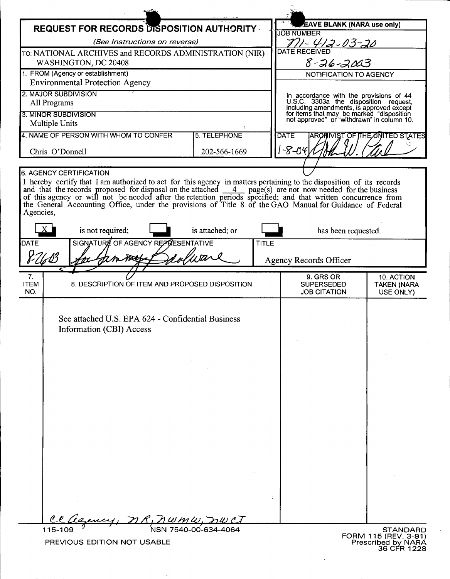| <b>REQUEST FOR RECORDS DISPOSITION AUTHORITY.</b>                                                                                                                                                                                                                                                                                                                                                           |                                    |                      |              | <b>EAVE BLANK (NARA use only)</b><br><b>JOB NUMBER</b>                                                                              |                                                                       |  |
|-------------------------------------------------------------------------------------------------------------------------------------------------------------------------------------------------------------------------------------------------------------------------------------------------------------------------------------------------------------------------------------------------------------|------------------------------------|----------------------|--------------|-------------------------------------------------------------------------------------------------------------------------------------|-----------------------------------------------------------------------|--|
| (See Instructions on reverse)                                                                                                                                                                                                                                                                                                                                                                               |                                    |                      |              | <u>771 - 412 - 03 - 20</u>                                                                                                          |                                                                       |  |
| TO: NATIONAL ARCHIVES and RECORDS ADMINISTRATION (NIR)                                                                                                                                                                                                                                                                                                                                                      |                                    |                      |              | <b>DATE RECEIVED</b>                                                                                                                |                                                                       |  |
| WASHINGTON, DC 20408<br>1. FROM (Agency or establishment)                                                                                                                                                                                                                                                                                                                                                   |                                    |                      |              | 8-26-2003<br>NOTIFICATION TO AGENCY                                                                                                 |                                                                       |  |
| <b>Environmental Protection Agency</b>                                                                                                                                                                                                                                                                                                                                                                      |                                    |                      |              |                                                                                                                                     |                                                                       |  |
| 2. MAJOR SUBDIVISION                                                                                                                                                                                                                                                                                                                                                                                        |                                    |                      |              | In accordance with the provisions of 44<br>U.S.C. 3303a the disposition request,                                                    |                                                                       |  |
| All Programs<br>3. MINOR SUBDIVISION                                                                                                                                                                                                                                                                                                                                                                        |                                    |                      |              | including amendments, is approved except<br>for items that may be marked "disposition<br>not approved" or "withdrawn" in column 10. |                                                                       |  |
| <b>Multiple Units</b>                                                                                                                                                                                                                                                                                                                                                                                       |                                    |                      |              |                                                                                                                                     |                                                                       |  |
| 4. NAME OF PERSON WITH WHOM TO CONFER                                                                                                                                                                                                                                                                                                                                                                       |                                    | <b>5. TELEPHONE</b>  |              | <b>DATE</b>                                                                                                                         | <b>ARCHIVIST OF ITHE UNITED STATES</b>                                |  |
| Chris O'Donnell                                                                                                                                                                                                                                                                                                                                                                                             |                                    | 202-566-1669         |              | $-8 - 04$                                                                                                                           |                                                                       |  |
|                                                                                                                                                                                                                                                                                                                                                                                                             |                                    |                      |              |                                                                                                                                     |                                                                       |  |
| <b>6. AGENCY CERTIFICATION</b><br>I hereby certify that I am authorized to act for this agency in matters pertaining to the disposition of its records<br>and that the records proposed for disposal on the attached 4 page(s) are not now needed for the business<br>of this agency or will not be needed after the retention periods specified; and that written concurrence from<br>the Gen<br>Agencies, |                                    |                      |              |                                                                                                                                     |                                                                       |  |
| is not required;                                                                                                                                                                                                                                                                                                                                                                                            |                                    | is attached; or      |              | has been requested.                                                                                                                 |                                                                       |  |
| <b>DATE</b>                                                                                                                                                                                                                                                                                                                                                                                                 | SIGNATURE OF AGENCY REPRESENTATIVE |                      | <b>TITLE</b> |                                                                                                                                     |                                                                       |  |
| calware<br>Mobile                                                                                                                                                                                                                                                                                                                                                                                           |                                    |                      |              | <b>Agency Records Officer</b>                                                                                                       |                                                                       |  |
| 7.                                                                                                                                                                                                                                                                                                                                                                                                          |                                    |                      |              | 9. GRS OR                                                                                                                           | 10. ACTION                                                            |  |
| <b>ITEM</b><br>8. DESCRIPTION OF ITEM AND PROPOSED DISPOSITION<br>NO.                                                                                                                                                                                                                                                                                                                                       |                                    |                      |              | <b>SUPERSEDED</b><br><b>JOB CITATION</b>                                                                                            | <b>TAKEN (NARA</b><br>USE ONLY)                                       |  |
| See attached U.S. EPA 624 - Confidential Business<br>Information (CBI) Access                                                                                                                                                                                                                                                                                                                               |                                    |                      |              |                                                                                                                                     |                                                                       |  |
|                                                                                                                                                                                                                                                                                                                                                                                                             |                                    |                      |              |                                                                                                                                     |                                                                       |  |
|                                                                                                                                                                                                                                                                                                                                                                                                             |                                    |                      |              |                                                                                                                                     |                                                                       |  |
| 115-109<br>PREVIOUS EDITION NOT USABLE                                                                                                                                                                                                                                                                                                                                                                      |                                    | NSN 7540-00-634-4064 |              |                                                                                                                                     | STANDARD<br>FORM 115 (REV. 3-91)<br>Prescribed by NARA<br>36 CFR 1228 |  |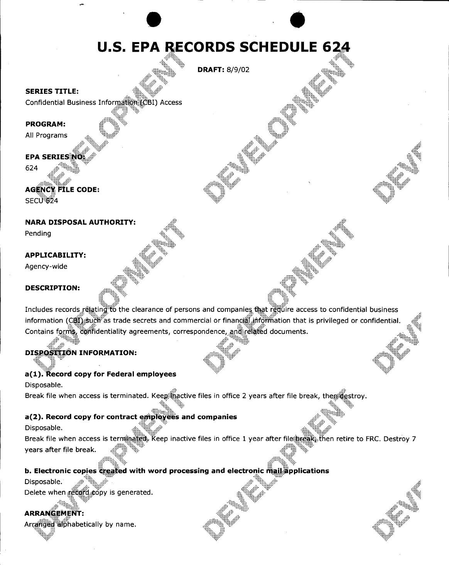# **U.S. EPA RECORDS SCHEDULE 624**

**DRAFT: 8/9/02** 

#### **SERIES TITLE:**

Confidential Business Information (CBI) Access

#### **PROGRAM:**

All Programs

# **EPA SERIESING**

624

# **AGENCY FILE CODE:** SECU<sup>1</sup>624

#### **NARA DISPOSAL AUTHORITY:**

Pending

#### **APPLICABILITY:**

Agency-wide

#### **DESCRIPTION:**

Includes records relating to the clearance of persons and companies that require access to confidential business information (CDI) such as trade secrets and commercial or financell information that is privileged or confidential. Contains forms, confidentiality agreements, correspondence, and related documents.

# **DISPOSITION INFORMATION:**

## a(1). Record copy for Federal employees

Disposable. Break file when access is terminated. Keep hactive files in office 2 years after file break, then destroy.

## a(2). Record copy for contract employees and companies

Disposable.

Break file when access is terminated. Keep inactive files in office 1 year after file break. then retire to FRC. Destroy 7 years after file break.

# **b. Electronic copies created with word processing and electronic mail applications**

Disposable.

®₩ Delete when record copy is generated.

# **ARRANGEMENT:**

Arranged alphabetically by name.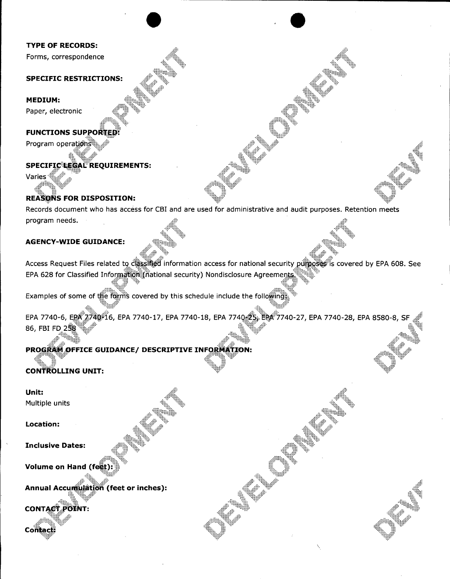#### **TYPE OF RECORDS:**

Forms, correspondence

#### **SPECIFIC RESTRICTIONS:**

#### **MEDIUM:**

Paper, electronic

#### **FUNCTIONS SUPPORTED:**

Program operations

# SPECIFIC LEGAL REQUIREMENTS:

Varies

## **REASONS FOR DISPOSITION:**

Records document who has access for CBI and are used for administrative and audit purposes. Retention meets program needs.

 $\bullet$   $\bullet$ 

#### **AGENCY-WIDE GUIDANCE:**

Access Request Files related to  $\frac{1}{2}$  . See information access for national security purposes is covered by EPA 608. See EPA 608. See EPA 608. See EPA 608. See EPA 608. See EPA 608. See EPA 608. See EPA 608. See EPA 60 EPA 628 for Classified Informational security) Nondisclosure Agreements

Examples of some of the forms covered by this schedule include the following.

EPA 7740-6, EPA 7740-16, EPA 7740-17, EPA 7740-18, EPA 7740-25, EPA 7740-27, EPA 7740-28, EPA 8580-8, SF 86, FBI FD 258

 $\overline{\phantom{0}}$ 

## PROGRAM OFFICE GUIDANCE/ DESCRIPTIVE INFORMATION:

# **CONTROLLING UNIT:**

#### **Unit:** Multiple units

**Location:**

**Inclusive Dates:**

#### Volume on Hand (fe

ulation (feet or inches): **Annual Accurrii** 

**CONTACT** 

Contact